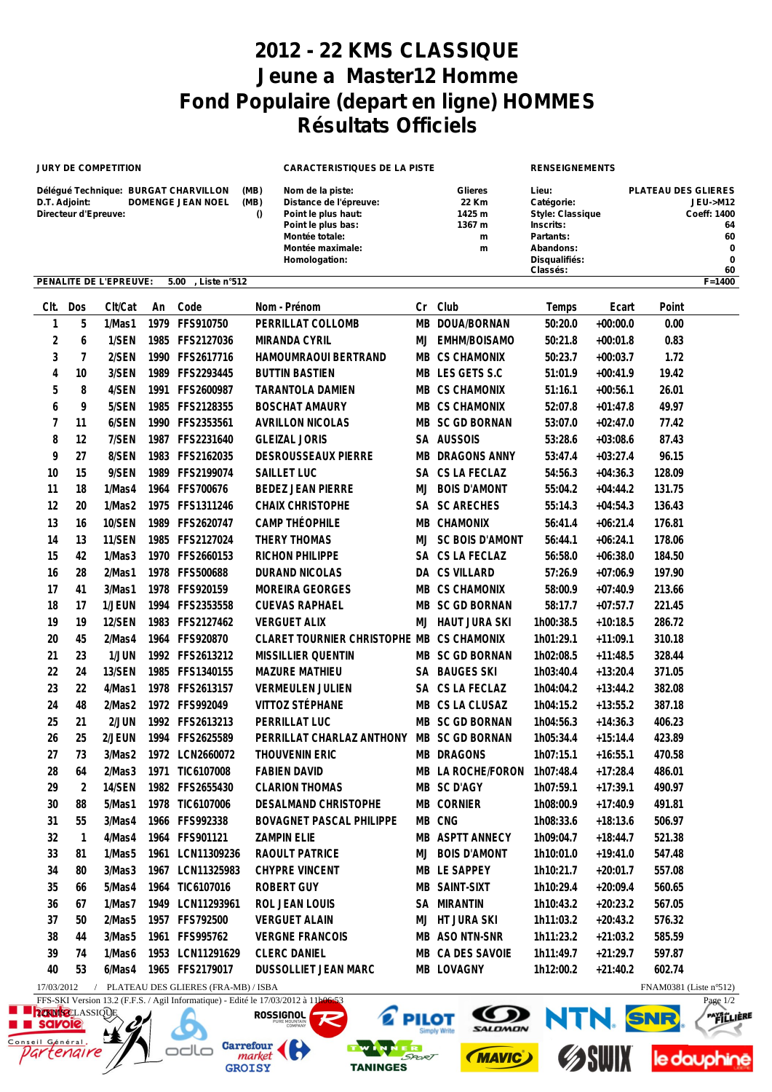## **2012 - 22 KMS CLASSIQUE Jeune a Master12 Homme Fond Populaire (depart en ligne) HOMMES Résultats Officiels**

| <b>JURY DE COMPETITION</b> |                                       |                        |      |                                                                  | <b>CARACTERISTIQUES DE LA PISTE</b> |                                                                                                                                                |           |                                                       | <b>RENSEIGNEMENTS</b>                                                                                              |            |                            |                                                                                   |  |
|----------------------------|---------------------------------------|------------------------|------|------------------------------------------------------------------|-------------------------------------|------------------------------------------------------------------------------------------------------------------------------------------------|-----------|-------------------------------------------------------|--------------------------------------------------------------------------------------------------------------------|------------|----------------------------|-----------------------------------------------------------------------------------|--|
|                            | D.T. Adjoint:<br>Directeur d'Epreuve: |                        |      | Délégué Technique: BURGAT CHARVILLON<br><b>DOMENGE JEAN NOEL</b> | (MB)<br>(MB)<br>$\theta$            | Nom de la piste:<br>Distance de l'épreuve:<br>Point le plus haut:<br>Point le plus bas:<br>Montée totale:<br>Montée maximale:<br>Homologation: |           | <b>Glieres</b><br>22 Km<br>1425 m<br>1367 m<br>m<br>m | Lieu:<br>Catégorie:<br><b>Style: Classique</b><br>Inscrits:<br>Partants:<br>Abandons:<br>Disqualifiés:<br>Classés: |            | <b>PLATEAU DES GLIERES</b> | <b>JEU-&gt;M12</b><br>Coeff: 1400<br>64<br>60<br>$\mathbf 0$<br>$\mathbf 0$<br>60 |  |
|                            |                                       | PENALITE DE L'EPREUVE: |      | 5.00<br>, Liste n°512                                            |                                     |                                                                                                                                                |           |                                                       |                                                                                                                    |            |                            | $F = 1400$                                                                        |  |
| CIt.                       | Dos                                   | Clt/Cat                | An   | Code                                                             |                                     | Nom - Prénom                                                                                                                                   | Cr        | Club                                                  | Temps                                                                                                              | Ecart      | Point                      |                                                                                   |  |
| $\mathbf{1}$               | 5                                     | 1/Mas1                 | 1979 | FFS910750                                                        |                                     | PERRILLAT COLLOMB                                                                                                                              | <b>MB</b> | DOUA/BORNAN                                           | 50:20.0                                                                                                            | $+00:00.0$ | 0.00                       |                                                                                   |  |
| $\sqrt{2}$                 | 6                                     | 1/SEN                  | 1985 | FFS2127036                                                       |                                     | MIRANDA CYRIL                                                                                                                                  | MJ        | EMHM/BOISAMO                                          | 50:21.8                                                                                                            | $+00:01.8$ | 0.83                       |                                                                                   |  |
| 3                          | $\overline{7}$                        | 2/SEN                  |      | 1990 FFS2617716                                                  |                                     | HAMOUMRAOUI BERTRAND                                                                                                                           | MВ        | <b>CS CHAMONIX</b>                                    | 50:23.7                                                                                                            | $+00:03.7$ | 1.72                       |                                                                                   |  |
| 4                          | 10                                    | 3/SEN                  | 1989 | FFS2293445                                                       |                                     | <b>BUTTIN BASTIEN</b>                                                                                                                          |           | MB LES GETS S.C                                       | 51:01.9                                                                                                            | $+00:41.9$ | 19.42                      |                                                                                   |  |
| 5                          | 8                                     | 4/SEN                  | 1991 | FFS2600987                                                       |                                     | <b>TARANTOLA DAMIEN</b>                                                                                                                        |           | MB CS CHAMONIX                                        | 51:16.1                                                                                                            | $+00:56.1$ | 26.01                      |                                                                                   |  |
| 6                          | 9                                     | 5/SEN                  | 1985 | FFS2128355                                                       |                                     | <b>BOSCHAT AMAURY</b>                                                                                                                          |           | MB CS CHAMONIX                                        | 52:07.8                                                                                                            | $+01:47.8$ | 49.97                      |                                                                                   |  |
| $\overline{7}$             | 11                                    | 6/SEN                  |      | 1990 FFS2353561                                                  |                                     | <b>AVRILLON NICOLAS</b>                                                                                                                        |           | MB SC GD BORNAN                                       | 53:07.0                                                                                                            | $+02:47.0$ | 77.42                      |                                                                                   |  |
| 8                          | 12                                    | 7/SEN                  | 1987 | FFS2231640                                                       |                                     | <b>GLEIZAL JORIS</b>                                                                                                                           |           | SA AUSSOIS                                            | 53:28.6                                                                                                            | $+03:08.6$ | 87.43                      |                                                                                   |  |
| 9                          | 27                                    | 8/SEN                  | 1983 | FFS2162035                                                       |                                     | DESROUSSEAUX PIERRE                                                                                                                            |           | MB DRAGONS ANNY                                       | 53:47.4                                                                                                            | $+03:27.4$ | 96.15                      |                                                                                   |  |
| 10                         | 15                                    | 9/SEN                  | 1989 | FFS2199074                                                       |                                     | SAILLET LUC                                                                                                                                    | SA        | CS LA FECLAZ                                          | 54:56.3                                                                                                            | $+04:36.3$ | 128.09                     |                                                                                   |  |
| 11                         | 18                                    | 1/Mas4                 | 1964 | FFS700676                                                        |                                     | <b>BEDEZ JEAN PIERRE</b>                                                                                                                       | MJ        | <b>BOIS D'AMONT</b>                                   | 55:04.2                                                                                                            | $+04:44.2$ | 131.75                     |                                                                                   |  |
| 12                         | 20                                    | 1/Mas2                 | 1975 | FFS1311246                                                       |                                     | <b>CHAIX CHRISTOPHE</b>                                                                                                                        | SА        | <b>SC ARECHES</b>                                     | 55:14.3                                                                                                            | $+04:54.3$ | 136.43                     |                                                                                   |  |
| 13                         | 16                                    | 10/SEN                 | 1989 | FFS2620747                                                       |                                     | CAMP THÉOPHILE                                                                                                                                 |           | MB CHAMONIX                                           | 56:41.4                                                                                                            | $+06:21.4$ | 176.81                     |                                                                                   |  |
| 14                         | 13                                    | 11/SEN                 | 1985 | FFS2127024                                                       |                                     | THERY THOMAS                                                                                                                                   | MJ        | <b>SC BOIS D'AMONT</b>                                | 56:44.1                                                                                                            | $+06:24.1$ | 178.06                     |                                                                                   |  |
| 15                         | 42                                    | 1/Mas3                 | 1970 | FFS2660153                                                       |                                     | <b>RICHON PHILIPPE</b>                                                                                                                         | SA        | CS LA FECLAZ                                          | 56:58.0                                                                                                            | $+06:38.0$ | 184.50                     |                                                                                   |  |
| 16                         | 28                                    | 2/Mas1                 | 1978 | FFS500688                                                        |                                     | <b>DURAND NICOLAS</b>                                                                                                                          | DA        | <b>CS VILLARD</b>                                     | 57:26.9                                                                                                            | $+07:06.9$ | 197.90                     |                                                                                   |  |
| 17                         | 41                                    | 3/Mas1                 | 1978 | FFS920159                                                        |                                     | MOREIRA GEORGES                                                                                                                                | MВ        | <b>CS CHAMONIX</b>                                    | 58:00.9                                                                                                            | $+07:40.9$ | 213.66                     |                                                                                   |  |
| 18                         | 17                                    | 1/JEUN                 | 1994 | FFS2353558                                                       |                                     | <b>CUEVAS RAPHAEL</b>                                                                                                                          | MВ        | <b>SC GD BORNAN</b>                                   | 58:17.7                                                                                                            | $+07:57.7$ | 221.45                     |                                                                                   |  |
| 19                         | 19                                    | 12/SEN                 | 1983 | FFS2127462                                                       |                                     | <b>VERGUET ALIX</b>                                                                                                                            | MJ        | <b>HAUT JURA SKI</b>                                  | 1h00:38.5                                                                                                          | $+10:18.5$ | 286.72                     |                                                                                   |  |
| 20                         | 45                                    | 2/Mas4                 | 1964 | FFS920870                                                        |                                     | CLARET TOURNIER CHRISTOPHE MB                                                                                                                  |           | <b>CS CHAMONIX</b>                                    | 1h01:29.1                                                                                                          | $+11:09.1$ | 310.18                     |                                                                                   |  |
| 21                         | 23                                    | 1/JUN                  |      | 1992 FFS2613212                                                  |                                     | MISSILLIER QUENTIN                                                                                                                             |           | MB SC GD BORNAN                                       | 1h02:08.5                                                                                                          | $+11:48.5$ | 328.44                     |                                                                                   |  |
| 22                         | 24                                    | 13/SEN                 |      | 1985 FFS1340155                                                  |                                     | <b>MAZURE MATHIEU</b>                                                                                                                          |           | SA BAUGES SKI                                         | 1h03:40.4                                                                                                          | $+13:20.4$ | 371.05                     |                                                                                   |  |
| 23                         | 22                                    | 4/Mas1                 |      | 1978 FFS2613157                                                  |                                     | <b>VERMEULEN JULIEN</b>                                                                                                                        |           | SA CS LA FECLAZ                                       | 1h04:04.2                                                                                                          | $+13:44.2$ | 382.08                     |                                                                                   |  |
| 24                         | 48                                    | 2/Mas2                 |      | 1972 FFS992049                                                   |                                     | VITTOZ STÉPHANE                                                                                                                                |           | MB CS LA CLUSAZ                                       | 1h04:15.2                                                                                                          | $+13:55.2$ | 387.18                     |                                                                                   |  |
| 25                         | 21                                    | 2/JUN                  |      | 1992 FFS2613213                                                  |                                     | PERRILLAT LUC                                                                                                                                  |           | MB SC GD BORNAN                                       | 1h04:56.3                                                                                                          | $+14:36.3$ | 406.23                     |                                                                                   |  |
| 26                         | 25                                    | 2/JEUN                 |      | 1994 FFS2625589                                                  |                                     | PERRILLAT CHARLAZ ANTHONY                                                                                                                      |           | MB SC GD BORNAN                                       | 1h05:34.4                                                                                                          | $+15:14.4$ | 423.89                     |                                                                                   |  |
| 27                         | 73                                    | 3/Mas2                 |      | 1972 LCN2660072                                                  |                                     | THOUVENIN ERIC                                                                                                                                 |           | MB DRAGONS                                            | 1h07:15.1                                                                                                          | $+16:55.1$ | 470.58                     |                                                                                   |  |
| 28                         | 64                                    | 2/Mas3                 |      | 1971 TIC6107008                                                  |                                     | <b>FABIEN DAVID</b>                                                                                                                            |           | MB LA ROCHE/FORON 1h07:48.4                           |                                                                                                                    | $+17:28.4$ | 486.01                     |                                                                                   |  |
| 29                         | 2                                     | 14/SEN                 |      | 1982 FFS2655430                                                  |                                     | <b>CLARION THOMAS</b>                                                                                                                          |           | MB SC D'AGY                                           | 1h07:59.1                                                                                                          | $+17:39.1$ | 490.97                     |                                                                                   |  |
| 30                         | 88                                    | 5/Mas1                 |      | 1978 TIC6107006                                                  |                                     | DESALMAND CHRISTOPHE                                                                                                                           |           | MB CORNIER                                            | 1h08:00.9                                                                                                          | $+17:40.9$ | 491.81                     |                                                                                   |  |
| 31                         | 55                                    | 3/Mas4                 |      | 1966 FFS992338                                                   |                                     | BOVAGNET PASCAL PHILIPPE                                                                                                                       |           | MB CNG                                                | 1h08:33.6                                                                                                          | $+18:13.6$ | 506.97                     |                                                                                   |  |
| 32                         | $\mathbf{1}$                          | 4/Mas4                 |      | 1964 FFS901121                                                   |                                     | <b>ZAMPIN ELIE</b>                                                                                                                             |           | MB ASPTT ANNECY                                       | 1h09:04.7                                                                                                          | $+18:44.7$ | 521.38                     |                                                                                   |  |
| 33                         | 81                                    | 1/Mas5                 |      | 1961 LCN11309236                                                 |                                     | RAOULT PATRICE                                                                                                                                 |           | MJ BOIS D'AMONT                                       | 1h10:01.0                                                                                                          | $+19:41.0$ | 547.48                     |                                                                                   |  |
| 34                         | 80                                    | 3/Mas3                 |      | 1967 LCN11325983                                                 |                                     | CHYPRE VINCENT                                                                                                                                 |           | MB LE SAPPEY                                          | 1h10:21.7                                                                                                          | $+20:01.7$ | 557.08                     |                                                                                   |  |
| 35                         | 66                                    | 5/Mas4                 |      | 1964 TIC6107016                                                  |                                     | ROBERT GUY                                                                                                                                     |           | MB SAINT-SIXT                                         | 1h10:29.4                                                                                                          | $+20:09.4$ | 560.65                     |                                                                                   |  |
| 36                         | 67                                    | 1/Mas7                 |      | 1949 LCN11293961                                                 |                                     | ROL JEAN LOUIS                                                                                                                                 |           | SA MIRANTIN                                           | 1h10:43.2                                                                                                          | $+20:23.2$ | 567.05                     |                                                                                   |  |
| 37                         | 50                                    | 2/Mas5                 |      | 1957 FFS792500                                                   |                                     | <b>VERGUET ALAIN</b>                                                                                                                           |           | MJ HT JURA SKI                                        | 1h11:03.2                                                                                                          | $+20:43.2$ | 576.32                     |                                                                                   |  |
| 38                         | 44                                    | 3/Mas5                 |      | 1961 FFS995762                                                   |                                     | <b>VERGNE FRANCOIS</b>                                                                                                                         |           | MB ASO NTN-SNR                                        | 1h11:23.2                                                                                                          | $+21:03.2$ | 585.59                     |                                                                                   |  |
| 39                         | 74                                    | 1/Mas6                 |      | 1953 LCN11291629                                                 |                                     | CLERC DANIEL                                                                                                                                   |           | MB CA DES SAVOIE                                      | 1h11:49.7                                                                                                          | $+21:29.7$ | 597.87                     |                                                                                   |  |
| 40                         | 53                                    | 6/Mas4                 |      | 1965 FFS2179017                                                  |                                     | DUSSOLLIET JEAN MARC                                                                                                                           |           | MB LOVAGNY                                            | 1h12:00.2                                                                                                          | $+21:40.2$ | 602.74                     |                                                                                   |  |

**E** PILOT

SPORT

ER

**TANINGES** 

17/03/2012 / PLATEAU DES GLIERES (FRA-MB) / ISBA FNAM0381 (Liste n°512) FFS-SKI Version 13.2 (F.F.S. / Agil Informatique) - Edité le 17/03/2012 à 11h

odlo

**ROSSIGNOL** 

Carrefour

**GROISY** 

**Phoute** LASSIQUE

tengire

eil Général